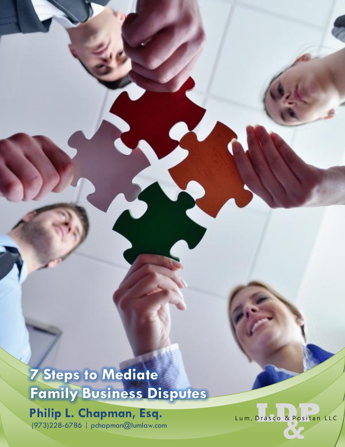**7 Steps to Mediate Family Business Disputes** 

**Philip L. Chapman, Esq.** (973)228 -6786 | [pchapman@lumlaw.com](mailto:pchapman@lumlaw.com)

**Drasco & Positan** Lum, Drasco & Positan LLC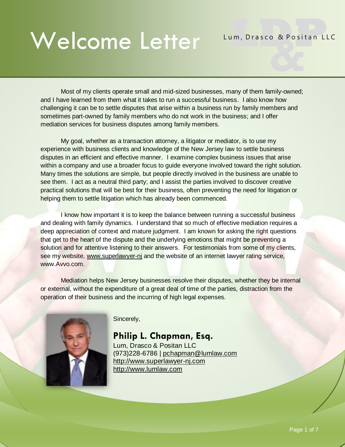# Welcome Letter **Lum, Drasco & Positan** Welcome Letter

Most of my clients operate small and mid-sized businesses, many of them family-owned; and I have learned from them what it takes to run a successful business. I also know how challenging it can be to settle disputes that arise within a business run by family members and sometimes part-owned by family members who do not work in the business; and I offer mediation services for business disputes among family members.

My goal, whether as a transaction attorney, a litigator or mediator, is to use my experience with business clients and knowledge of the New Jersey law to settle business disputes in an efficient and effective manner. I examine complex business issues that arise within a company and use a broader focus to guide everyone involved toward the right solution. Many times the solutions are simple, but people directly involved in the business are unable to see them. I act as a neutral third party; and I assist the parties involved to discover creative practical solutions that will be best for their business, often preventing the need for litigation or helping them to settle litigation which has already been commenced.

I know how important it is to keep the balance between running a successful business and dealing with family dynamics. I understand that so much of effective mediation requires a deep appreciation of context and mature judgment. I am known for asking the right questions that get to the heart of the dispute and the underlying emotions that might be preventing a solution and for attentive listening to their answers. For testimonials from some of my clients, see my website, [www.superlawyer-nj](http://www.superlawyer-nj/) and the website of an internet lawyer rating service, www.Avvo.com.

Mediation helps New Jersey businesses resolve their disputes, whether they be internal or external, without the expenditure of a great deal of time of the parties, distraction from the operation of their business and the incurring of high legal expenses.



Sincerely,

**Philip L. Chapman, Esq.** Lum, Drasco & Positan LLC (973)228-6786 | [pchapman@lumlaw.com](mailto:pchapman@lumlaw.com) [http://www.superlawyer-nj.com](http://www.superlawyer-nj.com/) [http://www.lumlaw.com](http://www.lumlaw.com/)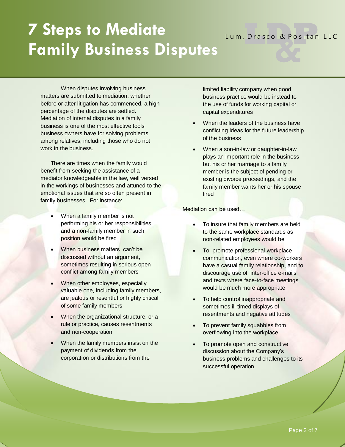# **7 Steps to Mediate Family Business Disputes**

#### When disputes involving business matters are submitted to mediation, whether before or after litigation has commenced, a high percentage of the disputes are settled. Mediation of internal disputes in a family business is one of the most effective tools business owners have for solving problems among relatives, including those who do not work in the business.

There are times when the family would benefit from seeking the assistance of a mediator knowledgeable in the law, well versed in the workings of businesses and attuned to the emotional issues that are so often present in family businesses. For instance:

- When a family member is not performing his or her responsibilities, and a non-family member in such position would be fired
- When business matters can't be discussed without an argument, sometimes resulting in serious open conflict among family members
- When other employees, especially valuable one, including family members, are jealous or resentful or highly critical of some family members
- When the organizational structure, or a rule or practice, causes resentments and non-cooperation
- When the family members insist on the payment of dividends from the corporation or distributions from the

limited liability company when good business practice would be instead to the use of funds for working capital or capital expenditures

Lum, Drasco & Positan LLC

- When the leaders of the business have conflicting ideas for the future leadership of the business
- When a son-in-law or daughter-in-law plays an important role in the business but his or her marriage to a family member is the subject of pending or existing divorce proceedings, and the family member wants her or his spouse fired

Mediation can be used…

- To insure that family members are held to the same workplace standards as non-related employees would be
- To promote professional workplace communication, even where co-workers have a casual family relationship, and to discourage use of inter-office e-mails and texts where face-to-face meetings would be much more appropriate
- To help control inappropriate and sometimes ill-timed displays of resentments and negative attitudes
- To prevent family squabbles from overflowing into the workplace
- To promote open and constructive discussion about the Company's business problems and challenges to its successful operation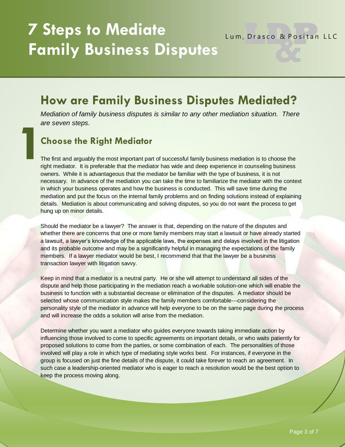# **7 Steps to Mediate Family Business Disputes**

#### Lum, Drasco & Positan LLC

### **How are Family Business Disputes Mediated?**

*Mediation of family business disputes is similar to any other mediation situation. There are seven steps.*

#### **Choose the Right Mediator**

The first and arguably the most important part of successful family business mediation is to choose the right mediator. It is preferable that the mediator has wide and deep experience in counseling business owners. While it is advantageous that the mediator be familiar with the type of business, it is not necessary. In advance of the mediation you can take the time to familiarize the mediator with the context in which your business operates and how the business is conducted. This will save time during the mediation and put the focus on the internal family problems and on finding solutions instead of explaining details. Mediation is about communicating and solving disputes, so you do not want the process to get hung up on minor details. **1**

Should the mediator be a lawyer? The answer is that, depending on the nature of the disputes and whether there are concerns that one or more family members may start a lawsuit or have already started a lawsuit, a lawyer's knowledge of the applicable laws, the expenses and delays involved in the litigation and its probable outcome and may be a significantly helpful in managing the expectations of the family members. If a lawyer mediator would be best, I recommend that that the lawyer be a business transaction lawyer with litigation savvy.

Keep in mind that a mediator is a neutral party. He or she will attempt to understand all sides of the dispute and help those participating in the mediation reach a workable solution-one which will enable the business to function with a substantial decrease or elimination of the disputes. A mediator should be selected whose communication style makes the family members comfortable---considering the personality style of the mediator in advance will help everyone to be on the same page during the process and will increase the odds a solution will arise from the mediation.

Determine whether you want a mediator who guides everyone towards taking immediate action by influencing those involved to come to specific agreements on important details, or who waits patiently for proposed solutions to come from the parties, or some combination of each. The personalities of those involved will play a role in which type of mediating style works best. For instances, if everyone in the group is focused on just the fine details of the dispute, it could take forever to reach an agreement. In such case a leadership-oriented mediator who is eager to reach a resolution would be the best option to keep the process moving along.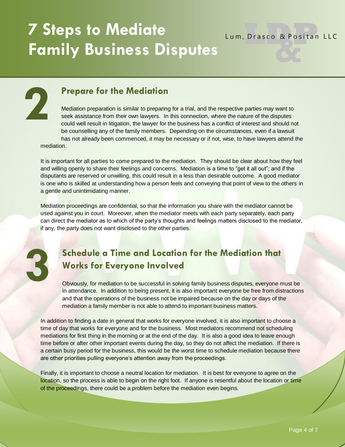Lum, Drasco & Positan LLC

#### **Prepare for the Mediation**

Mediation preparation is similar to preparing for a trial, and the respective parties may want to seek assistance from their own lawyers. In this connection, where the nature of the disputes could well result in litigation, the lawyer for the business has a conflict of interest and should not be counselling any of the family members. Depending on the circumstances, even if a lawsuit has not already been commenced, it may be necessary or if not, wise, to have lawyers attend the mediation.

It is important for all parties to come prepared to the mediation. They should be clear about how they feel and willing openly to share their feelings and concerns. Mediation is a time to "get it all out"; and if the disputants are reserved or unwilling, this could result in a less than desirable outcome. A good mediator is one who is skilled at understanding how a person feels and conveying that point of view to the others in a gentle and unintimidating manner.

Mediation proceedings are confidential, so that the information you share with the mediator cannot be used against you in court. Moreover, when the mediator meets with each party separately, each party can direct the mediator as to which of the party's thoughts and feelings matters disclosed to the mediator, if any, the party does not want disclosed to the other parties.

# **3**

**2**

#### **Schedule a Time and Location for the Mediation that Works for Everyone Involved**

Obviously, for mediation to be successful in solving family business disputes, everyone must be in attendance. In addition to being present, it is also important everyone be free from distractions and that the operations of the business not be impaired because on the day or days of the mediation a family member is not able to attend to important business matters.

In addition to finding a date in general that works for everyone involved, it is also important to choose a time of day that works for everyone and for the business. Most mediators recommend not scheduling mediations for first thing in the morning or at the end of the day. It is also a good idea to leave enough time before or after other important events during the day, so they do not affect the mediation. If there is a certain busy period for the business, this would be the worst time to schedule mediation because there are other priorities pulling everyone's attention away from the proceedings.

Finally, it is important to choose a neutral location for mediation. It is best for everyone to agree on the location, so the process is able to begin on the right foot. If anyone is resentful about the location or time of the proceedings, there could be a problem before the mediation even begins.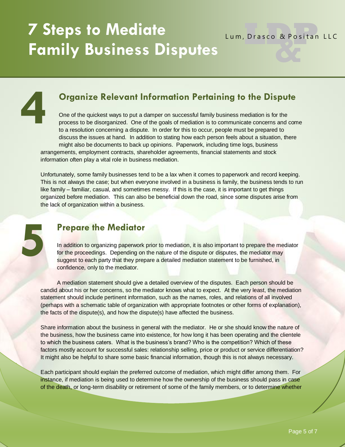Lum, Drasco & Positan LLC

#### **Organize Relevant Information Pertaining to the Dispute**

One of the quickest ways to put a damper on successful family business mediation is for the process to be disorganized. One of the goals of mediation is to communicate concerns and come to a resolution concerning a dispute. In order for this to occur, people must be prepared to discuss the issues at hand. In addition to stating how each person feels about a situation, there might also be documents to back up opinions. Paperwork, including time logs, business arrangements, employment contracts, shareholder agreements, financial statements and stock information often play a vital role in business mediation.

Unfortunately, some family businesses tend to be a lax when it comes to paperwork and record keeping. This is not always the case; but when everyone involved in a business is family, the business tends to run like family – familiar, casual, and sometimes messy. If this is the case, it is important to get things organized before mediation. This can also be beneficial down the road, since some disputes arise from the lack of organization within a business.



**4**

#### **Prepare the Mediator**

In addition to organizing paperwork prior to mediation, it is also important to prepare the mediator for the proceedings. Depending on the nature of the dispute or disputes, the mediator may suggest to each party that they prepare a detailed mediation statement to be furnished, in confidence, only to the mediator.

A mediation statement should give a detailed overview of the disputes. Each person should be candid about his or her concerns, so the mediator knows what to expect. At the very least, the mediation statement should include pertinent information, such as the names, roles, and relations of all involved (perhaps with a schematic table of organization with appropriate footnotes or other forms of explanation), the facts of the dispute(s), and how the dispute(s) have affected the business.

Share information about the business in general with the mediator. He or she should know the nature of the business, how the business came into existence, for how long it has been operating and the clientele to which the business caters. What is the business's brand? Who is the competition? Which of these factors mostly account for successful sales: relationship selling, price or product or service differentiation? It might also be helpful to share some basic financial information, though this is not always necessary.

Each participant should explain the preferred outcome of mediation, which might differ among them. For instance, if mediation is being used to determine how the ownership of the business should pass in case of the death, or long-term disability or retirement of some of the family members, or to determine whether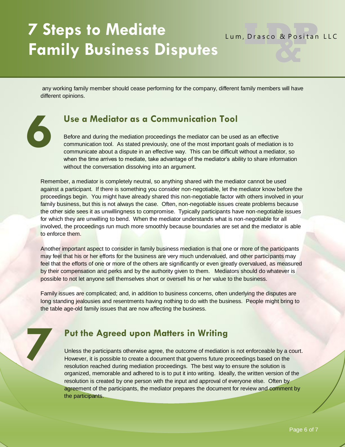# **7 Steps to Mediate Family Business Disputes**

**6**

**7**

Lum, Drasco & Positan LLC

any working family member should cease performing for the company, different family members will have different opinions.

#### **Use a Mediator as a Communication Tool**

Before and during the mediation proceedings the mediator can be used as an effective communication tool. As stated previously, one of the most important goals of mediation is to communicate about a dispute in an effective way. This can be difficult without a mediator, so when the time arrives to mediate, take advantage of the mediator's ability to share information without the conversation dissolving into an argument.

Remember, a mediator is completely neutral, so anything shared with the mediator cannot be used against a participant. If there is something you consider non-negotiable, let the mediator know before the proceedings begin. You might have already shared this non-negotiable factor with others involved in your family business, but this is not always the case. Often, non-negotiable issues create problems because the other side sees it as unwillingness to compromise. Typically participants have non-negotiable issues for which they are unwilling to bend. When the mediator understands what is non-negotiable for all involved, the proceedings run much more smoothly because boundaries are set and the mediator is able to enforce them.

Another important aspect to consider in family business mediation is that one or more of the participants may feel that his or her efforts for the business are very much undervalued, and other participants may feel that the efforts of one or more of the others are significantly or even greatly overvalued, as measured by their compensation and perks and by the authority given to them. Mediators should do whatever is possible to not let anyone sell themselves short or oversell his or her value to the business.

Family issues are complicated; and, in addition to business concerns, often underlying the disputes are long standing jealousies and resentments having nothing to do with the business. People might bring to the table age-old family issues that are now affecting the business.

#### **Put the Agreed upon Matters in Writing**

Unless the participants otherwise agree, the outcome of mediation is not enforceable by a court. However, it is possible to create a document that governs future proceedings based on the resolution reached during mediation proceedings. The best way to ensure the solution is organized, memorable and adhered to is to put it into writing. Ideally, the written version of the resolution is created by one person with the input and approval of everyone else. Often by agreement of the participants, the mediator prepares the document for review and comment by the participants.